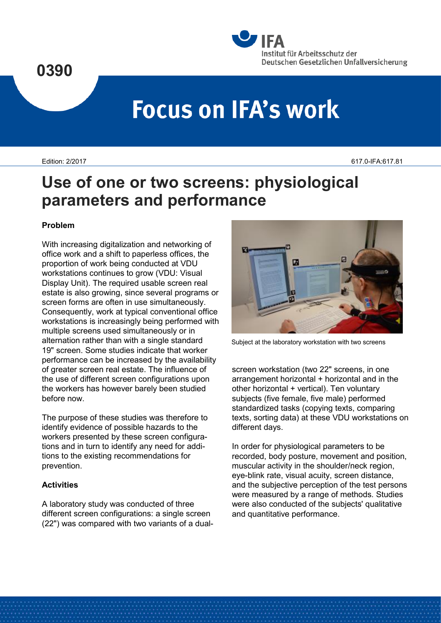



# **Focus on IFA's work**

Edition: 2/2017 617.0-IFA:617.81

# **Use of one or two screens: physiological parameters and performance**

# **Problem**

With increasing digitalization and networking of office work and a shift to paperless offices, the proportion of work being conducted at VDU workstations continues to grow (VDU: Visual Display Unit). The required usable screen real estate is also growing, since several programs or screen forms are often in use simultaneously. Consequently, work at typical conventional office workstations is increasingly being performed with multiple screens used simultaneously or in alternation rather than with a single standard 19" screen. Some studies indicate that worker performance can be increased by the availability of greater screen real estate. The influence of the use of different screen configurations upon the workers has however barely been studied before now.

The purpose of these studies was therefore to identify evidence of possible hazards to the workers presented by these screen configurations and in turn to identify any need for additions to the existing recommendations for prevention.

# **Activities**

A laboratory study was conducted of three different screen configurations: a single screen (22") was compared with two variants of a dual-



Subject at the laboratory workstation with two screens

screen workstation (two 22" screens, in one arrangement horizontal + horizontal and in the other horizontal + vertical). Ten voluntary subjects (five female, five male) performed standardized tasks (copying texts, comparing texts, sorting data) at these VDU workstations on different days.

In order for physiological parameters to be recorded, body posture, movement and position, muscular activity in the shoulder/neck region, eye-blink rate, visual acuity, screen distance, and the subjective perception of the test persons were measured by a range of methods. Studies were also conducted of the subjects' qualitative and quantitative performance.